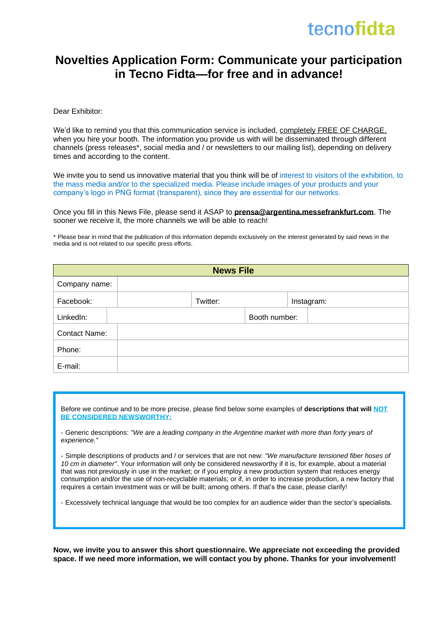### tecnofidta

#### **Novelties Application Form: Communicate your participation in Tecno Fidta—for free and in advance!**

Dear Exhibitor:

We'd like to remind you that this communication service is included, completely FREE OF CHARGE, when you hire your booth. The information you provide us with will be disseminated through different channels (press releases\*, social media and / or newsletters to our mailing list), depending on delivery times and according to the content.

We invite you to send us innovative material that you think will be of interest to visitors of the exhibition, to the mass media and/or to the specialized media. Please include images of your products and your company's logo in PNG format (transparent), since they are essential for our networks.

Once you fill in this News File, please send it ASAP to **[prensa@argentina.messefrankfurt.com](mailto:prensa@argentina.messefrankfurt.com)**. The sooner we receive it, the more channels we will be able to reach!

\* Please bear in mind that the publication of this information depends exclusively on the interest generated by said news in the media and is not related to our specific press efforts.

| <b>News File</b>     |  |          |               |            |  |
|----------------------|--|----------|---------------|------------|--|
| Company name:        |  |          |               |            |  |
| Facebook:            |  | Twitter: |               | Instagram: |  |
| LinkedIn:            |  |          | Booth number: |            |  |
| <b>Contact Name:</b> |  |          |               |            |  |
| Phone:               |  |          |               |            |  |
| E-mail:              |  |          |               |            |  |

Before we continue and to be more precise, please find below some examples of **descriptions that will NOT BE CONSIDERED NEWSWORTHY:**

- Generic descriptions: *"We are a leading company in the Argentine market with more than forty years of experience."*

- Simple descriptions of products and / or services that are not new: *"We manufacture tensioned fiber hoses of 10 cm in diameter"*. Your information will only be considered newsworthy if it is, for example, about a material that was not previously in use in the market; or if you employ a new production system that reduces energy consumption and/or the use of non-recyclable materials; or if, in order to increase production, a new factory that requires a certain investment was or will be built; among others. If that's the case, please clarify!

- Excessively technical language that would be too complex for an audience wider than the sector's specialists.

**Now, we invite you to answer this short questionnaire. We appreciate not exceeding the provided space. If we need more information, we will contact you by phone. Thanks for your involvement!**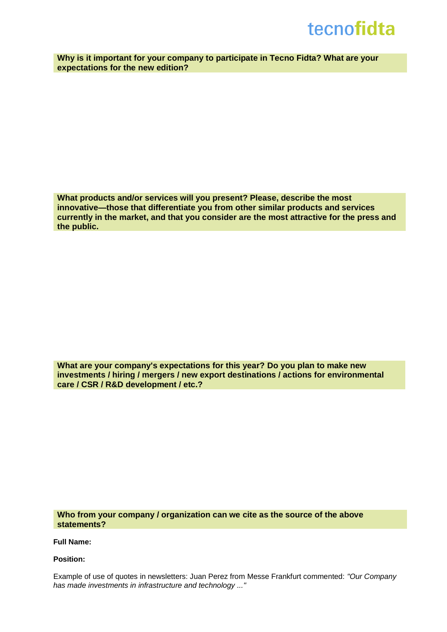## tecnofidta

**Why is it important for your company to participate in Tecno Fidta? What are your expectations for the new edition?**

**What products and/or services will you present? Please, describe the most innovative—those that differentiate you from other similar products and services currently in the market, and that you consider are the most attractive for the press and the public.**

**What are your company's expectations for this year? Do you plan to make new investments / hiring / mergers / new export destinations / actions for environmental care / CSR / R&D development / etc.?**

**Who from your company / organization can we cite as the source of the above statements?**

**Full Name:**

**Position:**

Example of use of quotes in newsletters: Juan Perez from Messe Frankfurt commented: *"Our Company has made investments in infrastructure and technology ..."*